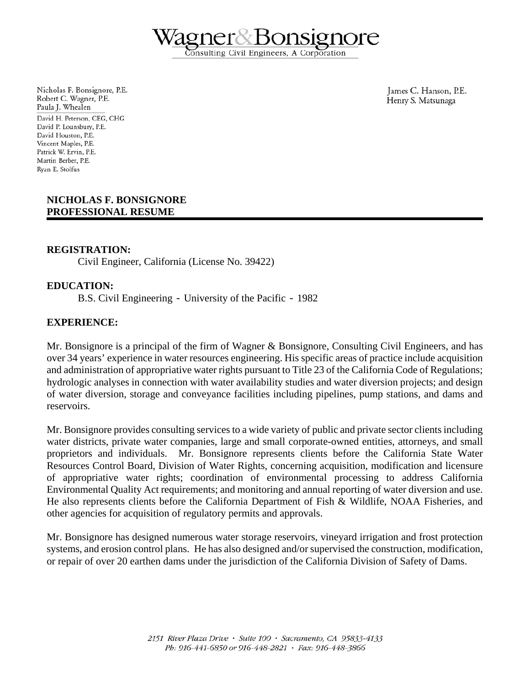Consulting Civil Engineers, A Corporation

Nicholas F. Bonsignore, P.E. Robert C. Wagner, P.E. Paula J. Whealen David H. Peterson, CEG, CHG David P. Lounsbury, P.E. David Houston, P.E. Vincent Maples, P.E. Patrick W. Ervin, P.E. Martin Berber, P.E. Rvan E. Stolfus

James C. Hanson, P.E. Henry S. Matsunaga

### **NICHOLAS F. BONSIGNORE PROFESSIONAL RESUME**

### **REGISTRATION:**

Civil Engineer, California (License No. 39422)

## **EDUCATION:**

B.S. Civil Engineering - University of the Pacific - 1982

### **EXPERIENCE:**

Mr. Bonsignore is a principal of the firm of Wagner & Bonsignore, Consulting Civil Engineers, and has over 34 years' experience in water resources engineering. His specific areas of practice include acquisition and administration of appropriative water rights pursuant to Title 23 of the California Code of Regulations; hydrologic analyses in connection with water availability studies and water diversion projects; and design of water diversion, storage and conveyance facilities including pipelines, pump stations, and dams and reservoirs.

Mr. Bonsignore provides consulting services to a wide variety of public and private sector clients including water districts, private water companies, large and small corporate-owned entities, attorneys, and small proprietors and individuals. Mr. Bonsignore represents clients before the California State Water Resources Control Board, Division of Water Rights, concerning acquisition, modification and licensure of appropriative water rights; coordination of environmental processing to address California Environmental Quality Act requirements; and monitoring and annual reporting of water diversion and use. He also represents clients before the California Department of Fish & Wildlife, NOAA Fisheries, and other agencies for acquisition of regulatory permits and approvals.

Mr. Bonsignore has designed numerous water storage reservoirs, vineyard irrigation and frost protection systems, and erosion control plans. He has also designed and/or supervised the construction, modification, or repair of over 20 earthen dams under the jurisdiction of the California Division of Safety of Dams.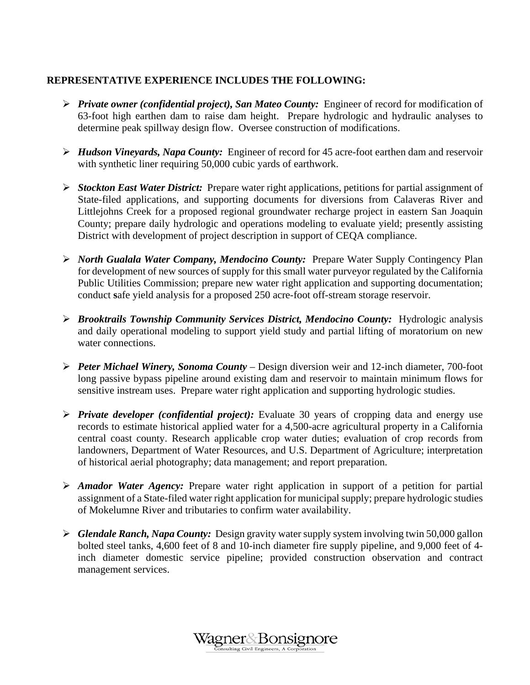# **REPRESENTATIVE EXPERIENCE INCLUDES THE FOLLOWING:**

- ¾ *Private owner (confidential project), San Mateo County:* Engineer of record for modification of 63-foot high earthen dam to raise dam height. Prepare hydrologic and hydraulic analyses to determine peak spillway design flow. Oversee construction of modifications.
- ¾ *Hudson Vineyards, Napa County:* Engineer of record for 45 acre-foot earthen dam and reservoir with synthetic liner requiring 50,000 cubic yards of earthwork.
- ¾ *Stockton East Water District:* Prepare water right applications, petitions for partial assignment of State-filed applications, and supporting documents for diversions from Calaveras River and Littlejohns Creek for a proposed regional groundwater recharge project in eastern San Joaquin County; prepare daily hydrologic and operations modeling to evaluate yield; presently assisting District with development of project description in support of CEQA compliance.
- ¾ *North Gualala Water Company, Mendocino County:*Prepare Water Supply Contingency Plan for development of new sources of supply for this small water purveyor regulated by the California Public Utilities Commission; prepare new water right application and supporting documentation; conduct **s**afe yield analysis for a proposed 250 acre-foot off-stream storage reservoir.
- ¾ *Brooktrails Township Community Services District, Mendocino County:* Hydrologic analysis and daily operational modeling to support yield study and partial lifting of moratorium on new water connections.
- ¾ *Peter Michael Winery, Sonoma County* Design diversion weir and 12-inch diameter, 700-foot long passive bypass pipeline around existing dam and reservoir to maintain minimum flows for sensitive instream uses. Prepare water right application and supporting hydrologic studies.
- ¾ *Private developer (confidential project):* Evaluate 30 years of cropping data and energy use records to estimate historical applied water for a 4,500-acre agricultural property in a California central coast county. Research applicable crop water duties; evaluation of crop records from landowners, Department of Water Resources, and U.S. Department of Agriculture; interpretation of historical aerial photography; data management; and report preparation.
- ¾ *Amador Water Agency:* Prepare water right application in support of a petition for partial assignment of a State-filed water right application for municipal supply; prepare hydrologic studies of Mokelumne River and tributaries to confirm water availability.
- ¾ *Glendale Ranch, Napa County:* Design gravity water supply system involving twin 50,000 gallon bolted steel tanks, 4,600 feet of 8 and 10-inch diameter fire supply pipeline, and 9,000 feet of 4 inch diameter domestic service pipeline; provided construction observation and contract management services.